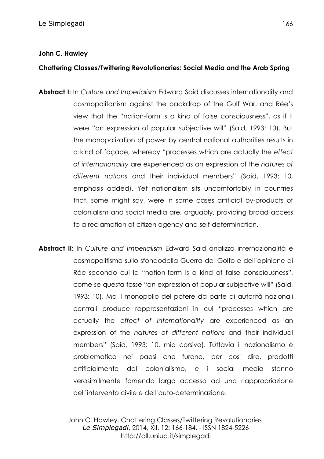## **John C. Hawley**

## **Chattering Classes/Twittering Revolutionaries: Social Media and the Arab Spring**

- **Abstract I:** In *Culture and Imperialism* Edward Said discusses internationality and cosmopolitanism against the backdrop of the Gulf War, and Rée's view that the "nation-form is a kind of false consciousness", as if it were "an expression of popular subjective will" (Said, 1993: 10). But the monopolization of power by central national authorities results in a kind of façade, whereby "processes which are actually the *effect of internationality* are experienced as an expression of the *natures of different nations* and their individual members" (Said, 1993: 10, emphasis added). Yet nationalism sits uncomfortably in countries that, some might say, were in some cases artificial by-products of colonialism and social media are, arguably, providing broad access to a reclamation of citizen agency and self-determination.
- **Abstract II:** In *Culture and Imperialism* Edward Said analizza internazionalità e cosmopolitismo sullo sfondodella Guerra del Golfo e dell'opinione di Rée secondo cui la "nation-form is a kind of false consciousness", come se questa fosse "an expression of popular subjective will" (Said, 1993: 10). Ma il monopolio del potere da parte di autorità nazionali centrali produce rappresentazioni in cui "processes which are actually the *effect of internationality* are experienced as an expression of the *natures of different nations* and their individual members" (Said, 1993: 10, mio corsivo). Tuttavia il nazionalismo è problematico nei paesi che furono, per così dire, prodotti artificialmente dal colonialismo, e i social media stanno verosimilmente fornendo largo accesso ad una riappropriazione dell'intervento civile e dell'auto-determinazione.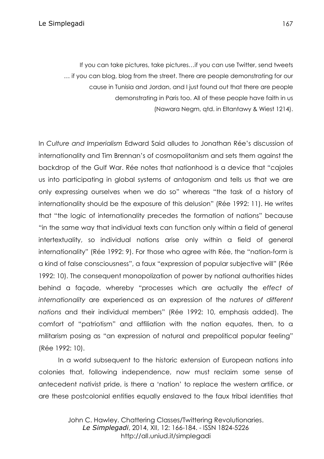If you can take pictures, take pictures…if you can use Twitter, send tweets … if you can blog, blog from the street. There are people demonstrating for our cause in Tunisia and Jordan, and I just found out that there are people demonstrating in Paris too. All of these people have faith in us (Nawara Negm, qtd. in Eltantawy & Wiest 1214).

In *Culture and Imperialism* Edward Said alludes to Jonathan Rée's discussion of internationality and Tim Brennan's of cosmopolitanism and sets them against the backdrop of the Gulf War. Rée notes that nationhood is a device that "cajoles us into participating in global systems of antagonism and tells us that we are only expressing ourselves when we do so" whereas "the task of a history of internationality should be the exposure of this delusion" (Rée 1992: 11). He writes that "the logic of internationality precedes the formation of nations" because "in the same way that individual texts can function only within a field of general intertextuality, so individual nations arise only within a field of general internationality" (Rée 1992: 9). For those who agree with Rée, the "nation-form is a kind of false consciousness", a faux "expression of popular subjective will" (Rée 1992: 10). The consequent monopolization of power by national authorities hides behind a façade, whereby "processes which are actually the *effect of internationality* are experienced as an expression of the *natures of different nations* and their individual members" (Rée 1992: 10, emphasis added). The comfort of "patriotism" and affiliation with the nation equates, then, to a militarism posing as "an expression of natural and prepolitical popular feeling" (Rée 1992: 10).

In a world subsequent to the historic extension of European nations into colonies that, following independence, now must reclaim some sense of antecedent nativist pride, is there a 'nation' to replace the western artifice, or are these postcolonial entities equally enslaved to the faux tribal identities that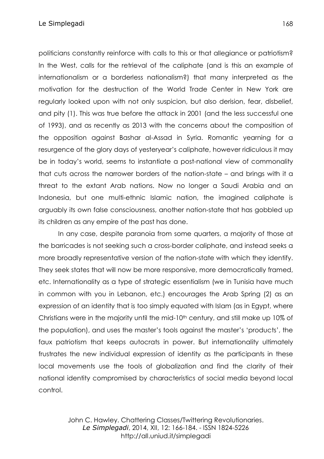politicians constantly reinforce with calls to this or that allegiance or patriotism? In the West, calls for the retrieval of the caliphate (and is this an example of internationalism or a borderless nationalism?) that many interpreted as the motivation for the destruction of the World Trade Center in New York are regularly looked upon with not only suspicion, but also derision, fear, disbelief, and pity (1). This was true before the attack in 2001 (and the less successful one of 1993), and as recently as 2013 with the concerns about the composition of the opposition against Bashar al-Assad in Syria. Romantic yearning for a resurgence of the glory days of yesteryear's caliphate, however ridiculous it may be in today's world, seems to instantiate a post-national view of commonality that cuts across the narrower borders of the nation-state *–* and brings with it a threat to the extant Arab nations. Now no longer a Saudi Arabia and an Indonesia, but one multi-ethnic Islamic nation, the imagined caliphate is arguably its own false consciousness, another nation-state that has gobbled up its children as any empire of the past has done.

In any case, despite paranoia from some quarters, a majority of those at the barricades is not seeking such a cross-border caliphate, and instead seeks a more broadly representative version of the nation-state with which they identify. They seek states that will now be more responsive, more democratically framed, etc. Internationality as a type of strategic essentialism (we in Tunisia have much in common with you in Lebanon, etc.) encourages the Arab Spring (2) as an expression of an identity that is too simply equated with Islam (as in Egypt, where Christians were in the majority until the mid-10th century, and still make up 10% of the population), and uses the master's tools against the master's 'products', the faux patriotism that keeps autocrats in power. But internationality ultimately frustrates the new individual expression of identity as the participants in these local movements use the tools of globalization and find the clarity of their national identity compromised by characteristics of social media beyond local control.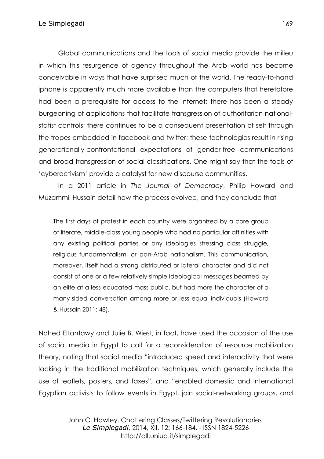Global communications and the tools of social media provide the milieu in which this resurgence of agency throughout the Arab world has become conceivable in ways that have surprised much of the world. The ready-to-hand iphone is apparently much more available than the computers that heretofore had been a prerequisite for access to the internet; there has been a steady burgeoning of applications that facilitate transgression of authoritarian nationalstatist controls; there continues to be a consequent presentation of self through the tropes embedded in facebook and twitter; these technologies result in rising generationally-confrontational expectations of gender-free communications and broad transgression of social classifications. One might say that the tools of 'cyberactivism' provide a catalyst for new discourse communities.

In a 2011 article in *The Journal of Democracy*, Philip Howard and Muzammil Hussain detail how the process evolved, and they conclude that

The first days of protest in each country were organized by a core group of literate, middle-class young people who had no particular affinities with any existing political parties or any ideologies stressing class struggle, religious fundamentalism, or pan-Arab nationalism. This communication, moreover, itself had a strong distributed or lateral character and did not consist of one or a few relatively simple ideological messages beamed by an elite at a less-educated mass public, but had more the character of a many-sided conversation among more or less equal individuals (Howard & Hussain 2011: 48).

Nahed Eltantawy and Julie B. Wiest, in fact, have used the occasion of the use of social media in Egypt to call for a reconsideration of resource mobilization theory, noting that social media "introduced speed and interactivity that were lacking in the traditional mobilization techniques, which generally include the use of leaflets, posters, and faxes", and "enabled domestic and international Egyptian activists to follow events in Egypt, join social-networking groups, and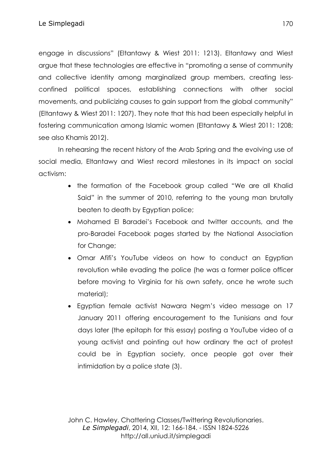engage in discussions" (Eltantawy & Wiest 2011: 1213). Eltantawy and Wiest argue that these technologies are effective in "promoting a sense of community and collective identity among marginalized group members, creating lessconfined political spaces, establishing connections with other social movements, and publicizing causes to gain support from the global community" (Eltantawy & Wiest 2011: 1207). They note that this had been especially helpful in fostering communication among Islamic women (Eltantawy & Wiest 2011: 1208; see also Khamis 2012).

In rehearsing the recent history of the Arab Spring and the evolving use of social media, Eltantawy and Wiest record milestones in its impact on social activism:

- the formation of the Facebook group called "We are all Khalid Said" in the summer of 2010, referring to the young man brutally beaten to death by Egyptian police;
- Mohamed El Baradei's Facebook and twitter accounts, and the pro-Baradei Facebook pages started by the National Association for Change;
- Omar Afifi's YouTube videos on how to conduct an Egyptian revolution while evading the police (he was a former police officer before moving to Virginia for his own safety, once he wrote such material);
- Egyptian female activist Nawara Negm's video message on 17 January 2011 offering encouragement to the Tunisians and four days later (the epitaph for this essay) posting a YouTube video of a young activist and pointing out how ordinary the act of protest could be in Egyptian society, once people got over their intimidation by a police state (3).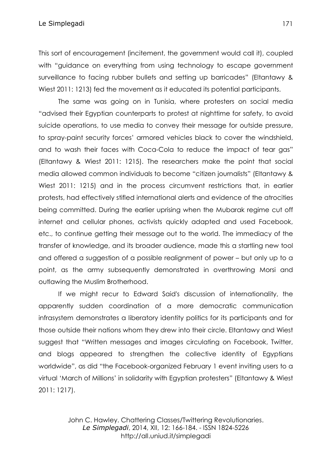This sort of encouragement (incitement, the government would call it), coupled with "guidance on everything from using technology to escape government surveillance to facing rubber bullets and setting up barricades" (Eltantawy & Wiest 2011: 1213) fed the movement as it educated its potential participants.

The same was going on in Tunisia, where protesters on social media "advised their Egyptian counterparts to protest at nighttime for safety, to avoid suicide operations, to use media to convey their message for outside pressure, to spray-paint security forces' armored vehicles black to cover the windshield, and to wash their faces with Coca-Cola to reduce the impact of tear gas" (Eltantawy & Wiest 2011: 1215). The researchers make the point that social media allowed common individuals to become "citizen journalists" (Eltantawy & Wiest 2011: 1215) and in the process circumvent restrictions that, in earlier protests, had effectively stifled international alerts and evidence of the atrocities being committed. During the earlier uprising when the Mubarak regime cut off internet and cellular phones, activists quickly adapted and used Facebook, etc., to continue getting their message out to the world. The immediacy of the transfer of knowledge, and its broader audience, made this a startling new tool and offered a suggestion of a possible realignment of power *–* but only up to a point, as the army subsequently demonstrated in overthrowing Morsi and outlawing the Muslim Brotherhood.

If we might recur to Edward Said's discussion of internationality, the apparently sudden coordination of a more democratic communication infrasystem demonstrates a liberatory identity politics for its participants and for those outside their nations whom they drew into their circle. Eltantawy and Wiest suggest that "Written messages and images circulating on Facebook, Twitter, and blogs appeared to strengthen the collective identity of Egyptians worldwide", as did "the Facebook-organized February 1 event inviting users to a virtual 'March of Millions' in solidarity with Egyptian protesters" (Eltantawy & Wiest 2011: 1217).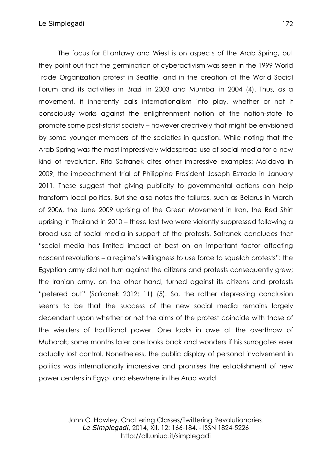The focus for Eltantawy and Wiest is on aspects of the Arab Spring, but they point out that the germination of cyberactivism was seen in the 1999 World Trade Organization protest in Seattle, and in the creation of the World Social Forum and its activities in Brazil in 2003 and Mumbai in 2004 (4). Thus, as a movement, it inherently calls internationalism into play, whether or not it consciously works against the enlightenment notion of the nation-state to promote some post-statist society *–* however creatively that might be envisioned by some younger members of the societies in question. While noting that the Arab Spring was the most impressively widespread use of social media for a new kind of revolution, Rita Safranek cites other impressive examples: Moldova in 2009, the impeachment trial of Philippine President Joseph Estrada in January 2011. These suggest that giving publicity to governmental actions can help transform local politics. But she also notes the failures, such as Belarus in March of 2006, the June 2009 uprising of the Green Movement in Iran, the Red Shirt uprising in Thailand in 2010 *–* these last two were violently suppressed following a broad use of social media in support of the protests. Safranek concludes that "social media has limited impact at best on an important factor affecting nascent revolutions *–* a regime's willingness to use force to squelch protests": the Egyptian army did not turn against the citizens and protests consequently grew; the Iranian army, on the other hand, turned against its citizens and protests "petered out" (Safranek 2012: 11) (5). So, the rather depressing conclusion seems to be that the success of the new social media remains largely dependent upon whether or not the aims of the protest coincide with those of the wielders of traditional power. One looks in awe at the overthrow of Mubarak; some months later one looks back and wonders if his surrogates ever actually lost control. Nonetheless, the public display of personal involvement in politics was internationally impressive and promises the establishment of new power centers in Egypt and elsewhere in the Arab world.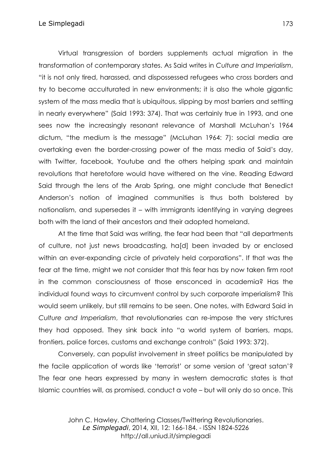Virtual transgression of borders supplements actual migration in the transformation of contemporary states. As Said writes in *Culture and Imperialism*, "it is not only tired, harassed, and dispossessed refugees who cross borders and try to become acculturated in new environments; it is also the whole gigantic system of the mass media that is ubiquitous, slipping by most barriers and settling in nearly everywhere" (Said 1993: 374). That was certainly true in 1993, and one sees now the increasingly resonant relevance of Marshall McLuhan's 1964 dictum, "the medium is the message" (McLuhan 1964: 7): social media are overtaking even the border-crossing power of the mass media of Said's day, with Twitter, facebook, Youtube and the others helping spark and maintain revolutions that heretofore would have withered on the vine. Reading Edward Said through the lens of the Arab Spring, one might conclude that Benedict Anderson's notion of imagined communities is thus both bolstered by nationalism, and supersedes it *–* with immigrants identifying in varying degrees both with the land of their ancestors and their adopted homeland.

At the time that Said was writing, the fear had been that "all departments of culture, not just news broadcasting, ha[d] been invaded by or enclosed within an ever-expanding circle of privately held corporations". If that was the fear at the time, might we not consider that this fear has by now taken firm root in the common consciousness of those ensconced in academia? Has the individual found ways to circumvent control by such corporate imperialism? This would seem unlikely, but still remains to be seen. One notes, with Edward Said in *Culture and Imperialism*, that revolutionaries can re-impose the very strictures they had opposed. They sink back into "a world system of barriers, maps, frontiers, police forces, customs and exchange controls" (Said 1993: 372).

Conversely, can populist involvement in street politics be manipulated by the facile application of words like 'terrorist' or some version of 'great satan'? The fear one hears expressed by many in western democratic states is that Islamic countries will, as promised, conduct a vote *–* but will only do so once. This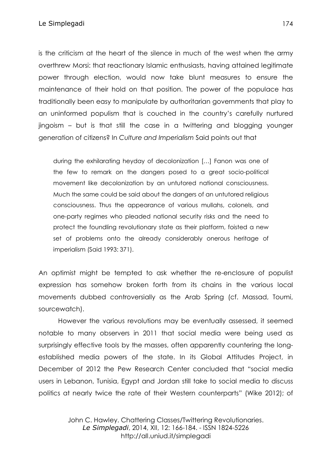Le Simplegadi and a strategic strategic strategic strategic strategic strategic strategic strategic strategic

is the criticism at the heart of the silence in much of the west when the army overthrew Morsi: that reactionary Islamic enthusiasts, having attained legitimate power through election, would now take blunt measures to ensure the maintenance of their hold on that position. The power of the populace has traditionally been easy to manipulate by authoritarian governments that play to an uninformed populism that is couched in the country's carefully nurtured jingoism *–* but is that still the case in a twittering and blogging younger generation of citizens? In *Culture and Imperialism* Said points out that

during the exhilarating heyday of decolonization […] Fanon was one of the few to remark on the dangers posed to a great socio-political movement like decolonization by an untutored national consciousness. Much the same could be said about the dangers of an untutored religious consciousness. Thus the appearance of various mullahs, colonels, and one-party regimes who pleaded national security risks and the need to protect the foundling revolutionary state as their platform, foisted a new set of problems onto the already considerably onerous heritage of imperialism (Said 1993: 371).

An optimist might be tempted to ask whether the re-enclosure of populist expression has somehow broken forth from its chains in the various local movements dubbed controversially as the Arab Spring (cf. Massad, Toumi, sourcewatch).

However the various revolutions may be eventually assessed, it seemed notable to many observers in 2011 that social media were being used as surprisingly effective tools by the masses, often apparently countering the longestablished media powers of the state. In its Global Attitudes Project, in December of 2012 the Pew Research Center concluded that "social media users in Lebanon, Tunisia, Egypt and Jordan still take to social media to discuss politics at nearly twice the rate of their Western counterparts" (Wike 2012); of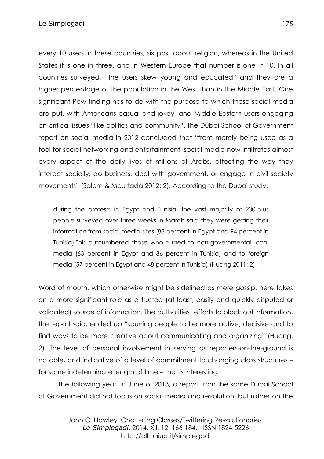every 10 users in these countries, six post about religion, whereas in the United States it is one in three, and in Western Europe that number is one in 10. In all countries surveyed, "the users skew young and educated" and they are a higher percentage of the population in the West than in the Middle East. One significant Pew finding has to do with the purpose to which these social media are put, with Americans casual and jokey, and Middle Eastern users engaging on critical issues "like politics and community". The Dubai School of Government report on social media in 2012 concluded that "from merely being used as a tool for social networking and entertainment, social media now infiltrates almost every aspect of the daily lives of millions of Arabs, affecting the way they interact socially, do business, deal with government, or engage in civil society movements" (Salem & Mourtada 2012: 2). According to the Dubai study,

during the protests in Egypt and Tunisia, the vast majority of 200-plus people surveyed over three weeks in March said they were getting their information from social media sites (88 percent in Egypt and 94 percent in Tunisia).This outnumbered those who turned to non-governmental local media (63 percent in Egypt and 86 percent in Tunisia) and to foreign media (57 percent in Egypt and 48 percent in Tunisia) (Huang 2011: 2).

Word of mouth, which otherwise might be sidelined as mere gossip, here takes on a more significant role as a trusted (at least, easily and quickly disputed or validated) source of information. The authorities' efforts to block out information, the report said, ended up "spurring people to be more active, decisive and to find ways to be more creative about communicating and organizing" (Huang, 2). The level of personal involvement in serving as reporters-on-the-ground is notable, and indicative of a level of commitment to changing class structures – for some indeterminate length of time – that is interesting.

The following year, in June of 2013, a report from the same Dubai School of Government did not focus on social media and revolution, but rather on the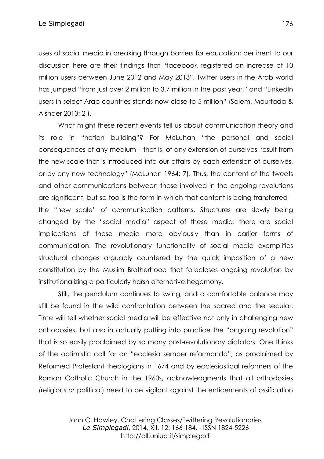uses of social media in breaking through barriers for education; pertinent to our discussion here are their findings that "facebook registered an increase of 10 million users between June 2012 and May 2013", Twitter users in the Arab world has jumped "from just over 2 million to 3.7 million in the past year," and "LinkedIn users in select Arab countries stands now close to 5 million" (Salem, Mourtada & Alshaer 2013: 2 ).

What might these recent events tell us about communication theory and its role in "nation building"? For McLuhan "the personal and social consequences of any medium – that is, of any extension of ourselves–result from the new scale that is introduced into our affairs by each extension of ourselves, or by any new technology" (McLuhan 1964: 7). Thus, the content of the tweets and other communications between those involved in the ongoing revolutions are significant, but so too is the form in which that content is being transferred – the "new scale" of communication patterns. Structures are slowly being changed by the "social media" aspect of these media: there are social implications of these media more obviously than in earlier forms of communication. The revolutionary functionality of social media exemplifies structural changes arguably countered by the quick imposition of a new constitution by the Muslim Brotherhood that forecloses ongoing revolution by institutionalizing a particularly harsh alternative hegemony.

Still, the pendulum continues to swing, and a comfortable balance may still be found in the wild confrontation between the sacred and the secular. Time will tell whether social media will be effective not only in challenging new orthodoxies, but also in actually putting into practice the "ongoing revolution" that is so easily proclaimed by so many post-revolutionary dictators. One thinks of the optimistic call for an "ecclesia semper reformanda", as proclaimed by Reformed Protestant theologians in 1674 and by ecclesiastical reformers of the Roman Catholic Church in the 1960s, acknowledgments that all orthodoxies (religious *or* political) need to be vigilant against the enticements of ossification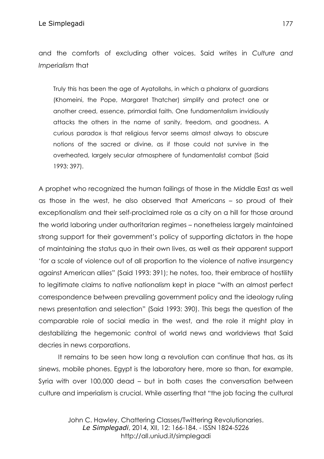and the comforts of excluding other voices. Said writes in *Culture and Imperialism* that

Truly this has been the age of Ayatollahs, in which a phalanx of guardians (Khomeini, the Pope, Margaret Thatcher) simplify and protect one or another creed, essence, primordial faith. One fundamentalism invidiously attacks the others in the name of sanity, freedom, and goodness. A curious paradox is that religious fervor seems almost always to obscure notions of the sacred or divine, as if those could not survive in the overheated, largely secular atmosphere of fundamentalist combat (Said 1993: 397).

A prophet who recognized the human failings of those in the Middle East as well as those in the west, he also observed that Americans – so proud of their exceptionalism and their self-proclaimed role as a city on a hill for those around the world laboring under authoritarian regimes – nonetheless largely maintained strong support for their government's policy of supporting dictators in the hope of maintaining the status quo in their own lives, as well as their apparent support 'for a scale of violence out of all proportion to the violence of native insurgency against American allies" (Said 1993: 391); he notes, too, their embrace of hostility to legitimate claims to native nationalism kept in place "with an almost perfect correspondence between prevailing government policy and the ideology ruling news presentation and selection" (Said 1993: 390). This begs the question of the comparable role of social media in the west, and the role it might play in destabilizing the hegemonic control of world news and worldviews that Said decries in news corporations.

It remains to be seen how long a revolution can continue that has, as its sinews, mobile phones. Egypt is the laboratory here, more so than, for example, Syria with over 100,000 dead – but in both cases the conversation between culture and imperialism is crucial. While asserting that "the job facing the cultural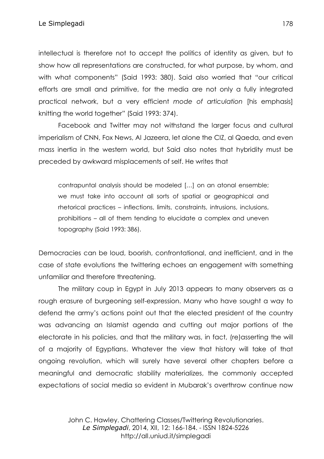intellectual is therefore not to accept the politics of identity as given, but to show how all representations are constructed, for what purpose, by whom, and with what components" (Said 1993: 380). Said also worried that "our critical efforts are small and primitive, for the media are not only a fully integrated practical network, but a very efficient *mode of articulation* [his emphasis] knitting the world together" (Said 1993: 374).

Facebook and Twitter may not withstand the larger focus and cultural imperialism of CNN, Fox News, Al Jazeera, let alone the CIZ, al Qaeda, and even mass inertia in the western world, but Said also notes that hybridity must be preceded by awkward misplacements of self. He writes that

contrapuntal analysis should be modeled […] on an atonal ensemble; we must take into account all sorts of spatial or geographical and rhetorical practices – inflections, limits, constraints, intrusions, inclusions, prohibitions – all of them tending to elucidate a complex and uneven topography (Said 1993: 386).

Democracies can be loud, boorish, confrontational, and inefficient, and in the case of state evolutions the twittering echoes an engagement with something unfamiliar and therefore threatening.

The military coup in Egypt in July 2013 appears to many observers as a rough erasure of burgeoning self-expression. Many who have sought a way to defend the army's actions point out that the elected president of the country was advancing an Islamist agenda and cutting out major portions of the electorate in his policies, and that the military was, in fact, (re)asserting the will of a majority of Egyptians. Whatever the view that history will take of that ongoing revolution, which will surely have several other chapters before a meaningful and democratic stability materializes, the commonly accepted expectations of social media so evident in Mubarak's overthrow continue now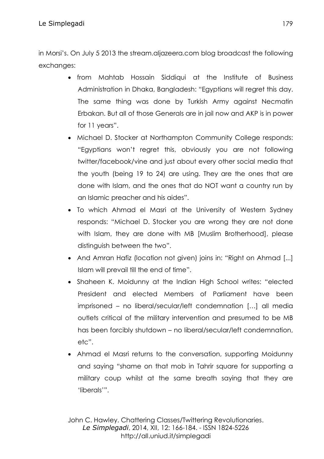in Morsi's. On July 5 2013 the stream.aljazeera.com blog broadcast the following exchanges:

- from Mahtab Hossain Siddiqui at the Institute of Business Administration in Dhaka, Bangladesh: "Egyptians will regret this day. The same thing was done by Turkish Army against Necmatin Erbakan. But all of those Generals are in jail now and AKP is in power for 11 years".
- Michael D. Stocker at Northampton Community College responds: "Egyptians won't regret this, obviously you are not following twitter/facebook/vine and just about every other social media that the youth (being 19 to 24) are using. They are the ones that are done with Islam, and the ones that do NOT want a country run by an Islamic preacher and his aides".
- To which Ahmad el Masri at the University of Western Sydney responds: "Michael D. Stocker you are wrong they are not done with Islam, they are done with MB [Muslim Brotherhood], please distinguish between the two".
- And Amran Hafiz (location not given) joins in: "Right on Ahmad [...] Islam will prevail till the end of time".
- Shaheen K. Moidunny at the Indian High School writes: "elected President and elected Members of Parliament have been imprisoned – no liberal/secular/left condemnation […] all media outlets critical of the military intervention and presumed to be MB has been forcibly shutdown – no liberal/secular/left condemnation, etc".
- Ahmad el Masri returns to the conversation, supporting Moidunny and saying "shame on that mob in Tahrir square for supporting a military coup whilst at the same breath saying that they are 'liberals'".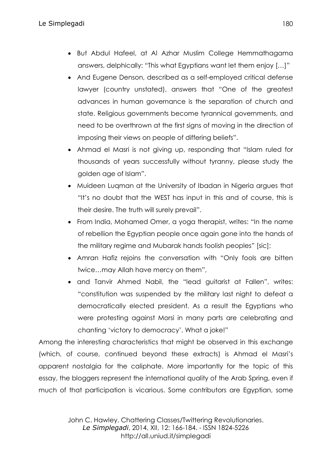- But Abdul Hafeel, at Al Azhar Muslim College Hemmathagama answers, delphically: "This what Egyptians want let them enjoy […]"
- And Eugene Denson, described as a self-employed critical defense lawyer (country unstated), answers that "One of the greatest advances in human governance is the separation of church and state. Religious governments become tyrannical governments, and need to be overthrown at the first signs of moving in the direction of imposing their views on people of differing beliefs".
- Ahmad el Masri is not giving up, responding that "Islam ruled for thousands of years successfully without tyranny, please study the golden age of Islam".
- Muideen Luqman at the University of Ibadan in Nigeria argues that "It's no doubt that the WEST has input in this and of course, this is their desire. The truth will surely prevail".
- From India, Mohamed Omer, a yoga therapist, writes: "In the name of rebellion the Egyptian people once again gone into the hands of the military regime and Mubarak hands foolish peoples" [sic];
- Amran Hafiz rejoins the conversation with "Only fools are bitten twice…may Allah have mercy on them",
- and Tanvir Ahmed Nabil, the "lead guitarist at Fallen", writes: "constitution was suspended by the military last night to defeat a democratically elected president. As a result the Egyptians who were protesting against Morsi in many parts are celebrating and chanting 'victory to democracy'. What a joke!"

Among the interesting characteristics that might be observed in this exchange (which, of course, continued beyond these extracts) is Ahmad el Masri's apparent nostalgia for the caliphate. More importantly for the topic of this essay, the bloggers represent the international quality of the Arab Spring, even if much of that participation is vicarious. Some contributors are Egyptian, some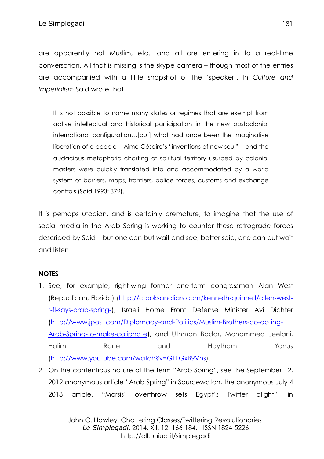are apparently not Muslim, etc., and all are entering in to a real-time conversation. All that is missing is the skype camera – though most of the entries are accompanied with a little snapshot of the 'speaker'. In *Culture and Imperialism* Said wrote that

It is not possible to name many states or regimes that are exempt from active intellectual and historical participation in the new postcolonial international configuration…[but] what had once been the imaginative liberation of a people – Aimé Césaire's "inventions of new soul" – and the audacious metaphoric charting of spiritual territory usurped by colonial masters were quickly translated into and accommodated by a world system of barriers, maps, frontiers, police forces, customs and exchange controls (Said 1993: 372).

It is perhaps utopian, and is certainly premature, to imagine that the use of social media in the Arab Spring is working to counter these retrograde forces described by Said – but one can but wait and see; better said, one can but wait and listen.

## **NOTES**

- 1. See, for example, right-wing former one-term congressman Alan West (Republican, Florida) [\(http://crooksandliars.com/kenneth-quinnell/allen-west](http://crooksandliars.com/kenneth-quinnell/allen-west-r-fl-says-arab-spring-)[r-fl-says-arab-spring-\)](http://crooksandliars.com/kenneth-quinnell/allen-west-r-fl-says-arab-spring-), Israeli Home Front Defense Minister Avi Dichter [\(http://www.jpost.com/Diplomacy-and-Politics/Muslim-Brothers-co-opting-](http://www.jpost.com/Diplomacy-and-Politics/Muslim-Brothers-co-opting-Arab-Spring-to-make-caliphate)[Arab-Spring-to-make-caliphate\)](http://www.jpost.com/Diplomacy-and-Politics/Muslim-Brothers-co-opting-Arab-Spring-to-make-caliphate), and Uthman Badar, Mohammed Jeelani, Halim Rane and Haytham Yonus [\(http://www.youtube.com/watch?v=GEllGxB9Vhs\)](http://www.youtube.com/watch?v=GEllGxB9Vhs).
- 2. On the contentious nature of the term "Arab Spring", see the September 12, 2012 anonymous article "Arab Spring" in Sourcewatch, the anonymous July 4 2013 article, "Morsis' overthrow sets Egypt's Twitter alight", in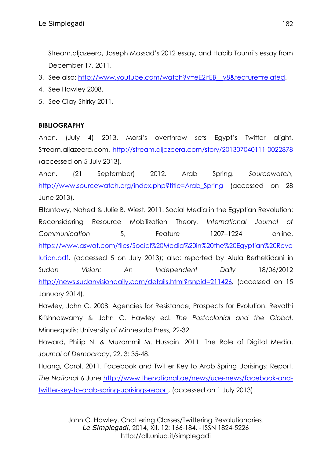Stream.aljazeera, Joseph Massad's 2012 essay, and Habib Toumi's essay from December 17, 2011.

- 3. See also: http://www.youtube.com/watch?v=eE2itEB\_v8&feature=related.
- 4. See Hawley 2008.
- 5. See Clay Shirky 2011.

## **BIBLIOGRAPHY**

Anon. (July 4) 2013. Morsi's overthrow sets Egypt's Twitter alight. Stream.aljazeera.com,<http://stream.aljazeera.com/story/201307040111-0022878> (accessed on 5 July 2013).

Anon. (21 September) 2012. Arab Spring. *Sourcewatch,*  [http://www.sourcewatch.org/index.php?title=Arab\\_Spring](http://www.sourcewatch.org/index.php?title=Arab_Spring) (accessed on 28 June 2013).

Eltantawy, Nahed & Julie B. Wiest. 2011. Social Media in the Egyptian Revolution: Reconsidering Resource Mobilization Theory*. International Journal of Communication* 5, Feature 1207–1224 online, [https://www.aswat.com/files/Social%20Media%20in%20the%20Egyptian%20Revo](https://www.aswat.com/files/Social%20Media%20in%20the%20Egyptian%20Revolution.pdf) [lution.pdf,](https://www.aswat.com/files/Social%20Media%20in%20the%20Egyptian%20Revolution.pdf) (accessed 5 on July 2013); also: reported by Alula BerheKidani in *Sudan Vision: An Independent Daily* 18/06/2012 <http://news.sudanvisiondaily.com/details.html?rsnpid=211426>, (accessed on 15 January 2014).

Hawley, John C. 2008. Agencies for Resistance, Prospects for Evolution. Revathi Krishnaswamy & John C. Hawley ed. *The Postcolonial and the Global*. Minneapolis: University of Minnesota Press, 22-32.

Howard, Philip N. & Muzammil M. Hussain. 2011. The Role of Digital Media. *Journal of Democracy*, 22, 3: 35-48.

Huang, Carol. 2011. Facebook and Twitter Key to Arab Spring Uprisings: Report. *The National* 6 June [http://www.thenational.ae/news/uae-news/facebook-and](http://www.thenational.ae/news/uae-news/facebook-and-twitter-key-to-arab-spring-uprisings-report)[twitter-key-to-arab-spring-uprisings-report,](http://www.thenational.ae/news/uae-news/facebook-and-twitter-key-to-arab-spring-uprisings-report) (accessed on 1 July 2013).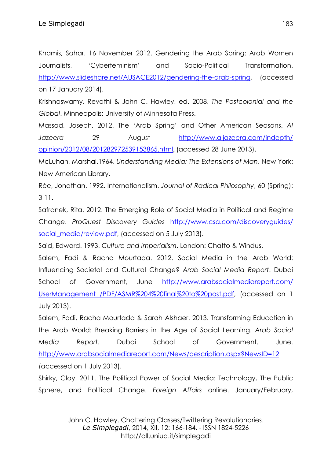Khamis, Sahar. 16 November 2012. Gendering the Arab Spring: Arab Women Journalists, 'Cyberfeminism' and Socio-Political Transformation. [http://www.slideshare.net/AUSACE2012/gendering-the-arab-spring,](http://www.slideshare.net/AUSACE2012/gendering-the-arab-spring) (accessed on 17 January 2014).

Krishnaswamy, Revathi & John C. Hawley, ed. 2008. *The Postcolonial and the Global*. Minneapolis: University of Minnesota Press.

Massad, Joseph. 2012. The 'Arab Spring' and Other American Seasons. *Al Jazeera* 29 August [http://www.aljazeera.com/indepth/](http://www.aljazeera.com/indepth/%20opinion/2012/08/201282972539153865.html)  [opinion/2012/08/201282972539153865.html](http://www.aljazeera.com/indepth/%20opinion/2012/08/201282972539153865.html), (accessed 28 June 2013).

McLuhan, Marshal.1964. *Understanding Media: The Extensions of Man*. New York: New American Library.

Rée, Jonathan. 1992. Internationalism. *Journal of Radical Philosophy*, 60 (Spring): 3-11.

Safranek, Rita. 2012. The Emerging Role of Social Media in Political and Regime Change. *ProQuest Discovery Guides* [http://www.csa.com/discoveryguides/](http://www.csa.com/discoveryguides/%20social_media/review.pdf)  [social\\_media/review.pdf,](http://www.csa.com/discoveryguides/%20social_media/review.pdf) (accessed on 5 July 2013).

Said, Edward. 1993. *Culture and Imperialism*. London: Chatto & Windus.

Salem, Fadi & Racha Mourtada. 2012. Social Media in the Arab World: Influencing Societal and Cultural Change? *Arab Social Media Report*. Dubai School of Government, June [http://www.arabsocialmediareport.com/](http://www.arabsocialmediareport.com/%20UserManagement%20/PDF/ASMR%204%20final%20to%20post.pdf)  [UserManagement /PDF/ASMR%204%20final%20to%20post.pdf,](http://www.arabsocialmediareport.com/%20UserManagement%20/PDF/ASMR%204%20final%20to%20post.pdf) (accessed on 1 July 2013).

Salem, Fadi, Racha Mourtada & Sarah Alshaer. 2013. Transforming Education in the Arab World: Breaking Barriers in the Age of Social Learning. *Arab Social Media Report*. Dubai School of Government. June. <http://www.arabsocialmediareport.com/News/description.aspx?NewsID=12> (accessed on 1 July 2013).

Shirky, Clay. 2011. The Political Power of Social Media: Technology, The Public Sphere, and Political Change. *Foreign Affairs* online. January/February,